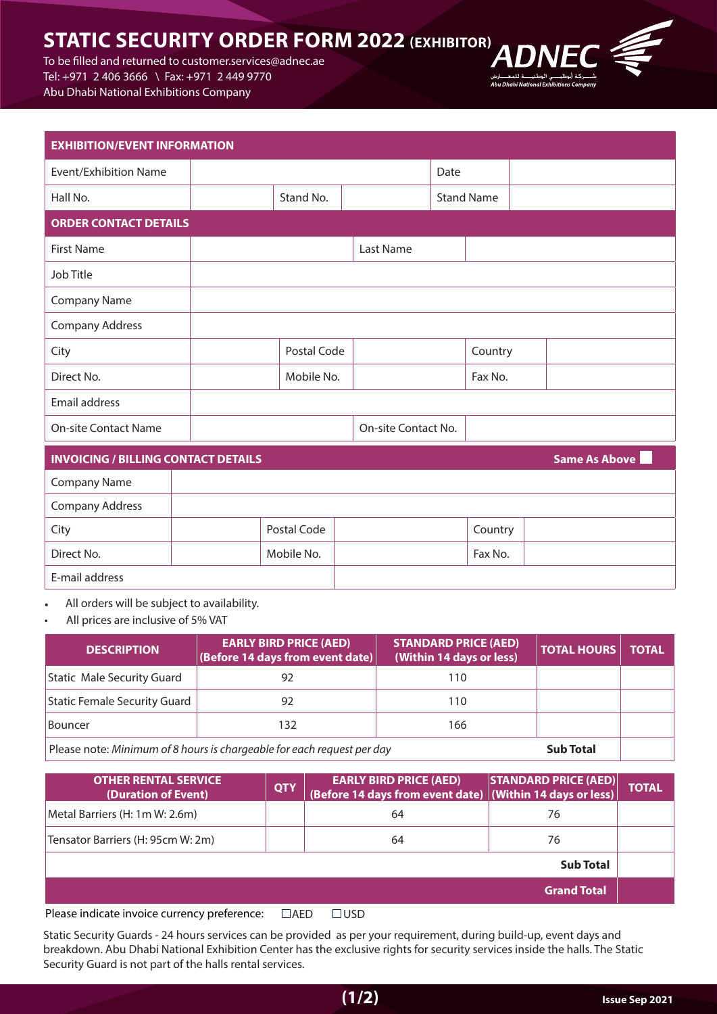# **STATIC SECURITY ORDER FORM 2022 (EXHIBITOR)**

To be filled and returned to customer services@adnec.ae Tel: +971 2 406 3666 \ Fax: +971 2 449 9770 Abu Dhabi National Exhibitions Company

| <b>EXHIBITION/EVENT INFORMATION</b> |  |             |                     |      |                   |  |  |  |
|-------------------------------------|--|-------------|---------------------|------|-------------------|--|--|--|
| Event/Exhibition Name               |  |             |                     | Date |                   |  |  |  |
| Hall No.                            |  | Stand No.   |                     |      | <b>Stand Name</b> |  |  |  |
| <b>ORDER CONTACT DETAILS</b>        |  |             |                     |      |                   |  |  |  |
| <b>First Name</b>                   |  |             | Last Name           |      |                   |  |  |  |
| Job Title                           |  |             |                     |      |                   |  |  |  |
| <b>Company Name</b>                 |  |             |                     |      |                   |  |  |  |
| <b>Company Address</b>              |  |             |                     |      |                   |  |  |  |
| City                                |  | Postal Code |                     |      | Country           |  |  |  |
| Direct No.                          |  | Mobile No.  |                     |      | Fax No.           |  |  |  |
| Email address                       |  |             |                     |      |                   |  |  |  |
| <b>On-site Contact Name</b>         |  |             | On-site Contact No. |      |                   |  |  |  |
|                                     |  |             |                     |      |                   |  |  |  |

| <b>INVOICING / BILLING CONTACT DETAILS</b> |             |         | <b>Same As Above</b> |  |  |
|--------------------------------------------|-------------|---------|----------------------|--|--|
| <b>Company Name</b>                        |             |         |                      |  |  |
| <b>Company Address</b>                     |             |         |                      |  |  |
| City                                       | Postal Code | Country |                      |  |  |
| Direct No.                                 | Mobile No.  | Fax No. |                      |  |  |
| E-mail address                             |             |         |                      |  |  |

All orders will be subject to availability.

All prices are inclusive of 5% VAT

| <b>DESCRIPTION</b>                                                                         | <b>EARLY BIRD PRICE (AED)</b><br>(Before 14 days from event date) | <b>STANDARD PRICE (AED)</b><br>(Within 14 days or less) | <b>TOTAL HOURS</b> | <b>TOTAL</b> |
|--------------------------------------------------------------------------------------------|-------------------------------------------------------------------|---------------------------------------------------------|--------------------|--------------|
| Static Male Security Guard                                                                 | 92                                                                | 110                                                     |                    |              |
| Static Female Security Guard                                                               | 92                                                                | 110                                                     |                    |              |
| Bouncer                                                                                    | 132                                                               | 166                                                     |                    |              |
| Please note: Minimum of 8 hours is chargeable for each request per day<br><b>Sub Total</b> |                                                                   |                                                         |                    |              |

| <b>OTHER RENTAL SERVICE</b><br>(Duration of Event)  | <b>QTY</b>            | <b>EARLY BIRD PRICE (AED)</b><br>(Before 14 days from event date) (Within 14 days or less) | STANDARD PRICE (AED) | <b>TOTAL</b> |
|-----------------------------------------------------|-----------------------|--------------------------------------------------------------------------------------------|----------------------|--------------|
| Metal Barriers (H: 1m W: 2.6m)                      |                       | 64                                                                                         | 76                   |              |
| Tensator Barriers (H: 95cm W: 2m)                   |                       | 64                                                                                         | 76                   |              |
|                                                     |                       |                                                                                            | <b>Sub Total</b>     |              |
|                                                     |                       |                                                                                            | <b>Grand Total</b>   |              |
| Dissue to district to celes scopes scores from sur- | $\Box$ $\land$ $\Box$ | $\Box$                                                                                     |                      |              |

Please indicate invoice currency preference:  $\Box$ AED  $\Box$ USD

Static Security Guards - 24 hours services can be provided as per your requirement, during build-up, event days and breakdown. Abu Dhabi National Exhibition Center has the exclusive rights for security services inside the halls. The Static Security Guard is not part of the halls rental services.